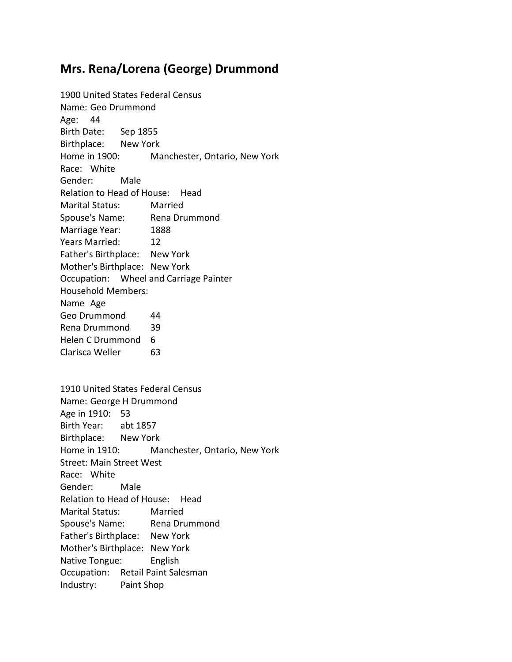## **Mrs. Rena/Lorena (George) Drummond**

1900 United States Federal Census Name: Geo Drummond Age: 44 Birth Date: Sep 1855 Birthplace: New York Home in 1900: Manchester, Ontario, New York Race: White Gender: Male Relation to Head of House: Head Marital Status: Married Spouse's Name: Rena Drummond Marriage Year: 1888 Years Married: 12 Father's Birthplace: New York Mother's Birthplace: New York Occupation: Wheel and Carriage Painter Household Members: Name Age Geo Drummond 44 Rena Drummond 39 Helen C Drummond 6 Clarisca Weller 63

1910 United States Federal Census Name: George H Drummond Age in 1910: 53 Birth Year: abt 1857 Birthplace: New York Home in 1910: Manchester, Ontario, New York Street: Main Street West Race: White Gender: Male Relation to Head of House: Head Marital Status: Married Spouse's Name: Rena Drummond Father's Birthplace: New York Mother's Birthplace: New York Native Tongue: English Occupation: Retail Paint Salesman Industry: Paint Shop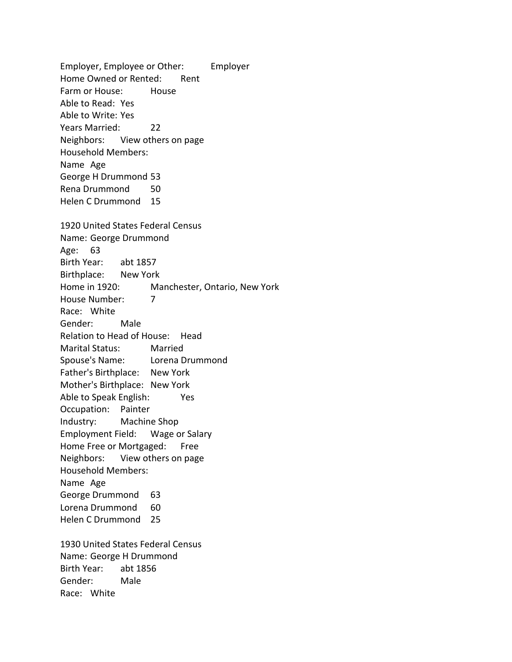Employer, Employee or Other: Employer Home Owned or Rented: Rent Farm or House: House Able to Read: Yes Able to Write: Yes Years Married: 22 Neighbors: View others on page Household Members: Name Age George H Drummond 53 Rena Drummond 50 Helen C Drummond 15 1920 United States Federal Census Name: George Drummond Age: 63 Birth Year: abt 1857 Birthplace: New York Home in 1920: Manchester, Ontario, New York House Number: 7 Race: White Gender: Male Relation to Head of House: Head Marital Status: Married Spouse's Name: Lorena Drummond Father's Birthplace: New York Mother's Birthplace: New York Able to Speak English: Yes Occupation: Painter Industry: Machine Shop Employment Field: Wage or Salary Home Free or Mortgaged: Free Neighbors: View others on page Household Members: Name Age George Drummond 63 Lorena Drummond 60 Helen C Drummond 25 1930 United States Federal Census Name: George H Drummond Birth Year: abt 1856

Gender: Male

Race: White